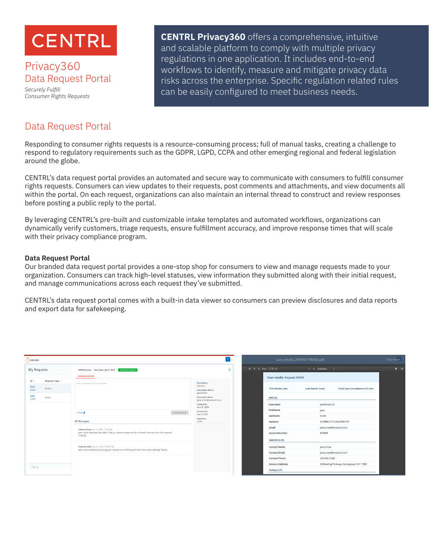

## Privacy360 Data Request Portal

*Securely Fulfill Consumer Rights Requests*

**CENTRL Privacy360** offers a comprehensive, intuitive and scalable platform to comply with multiple privacy regulations in one application. It includes end-to-end workflows to identify, measure and mitigate privacy data risks across the enterprise. Specific regulation related rules can be easily configured to meet business needs.

# Data Request Portal

Responding to consumer rights requests is a resource-consuming process; full of manual tasks, creating a challenge to respond to regulatory requirements such as the GDPR, LGPD, CCPA and other emerging regional and federal legislation around the globe.

CENTRL's data request portal provides an automated and secure way to communicate with consumers to fulfill consumer rights requests. Consumers can view updates to their requests, post comments and attachments, and view documents all within the portal. On each request, organizations can also maintain an internal thread to construct and review responses before posting a public reply to the portal.

By leveraging CENTRL's pre-built and customizable intake templates and automated workflows, organizations can dynamically verify customers, triage requests, ensure fulfillment accuracy, and improve response times that will scale with their privacy compliance program.

## **Data Request Portal**

Our branded data request portal provides a one-stop shop for consumers to view and manage requests made to your organization. Consumers can track high-level statuses, view information they submitted along with their initial request, and manage communications across each request they've submitted.

CENTRL's data request portal comes with a built-in data viewer so consumers can preview disclosures and data reports and export data for safekeeping.

| ORANGE       |                     |                                                                                                                                         |                                                |          | scan_results_20191101T130102.pdf |                                                                                         |                       |                                         | Close Viewer   |
|--------------|---------------------|-----------------------------------------------------------------------------------------------------------------------------------------|------------------------------------------------|----------|----------------------------------|-----------------------------------------------------------------------------------------|-----------------------|-----------------------------------------|----------------|
| My Requests  |                     | #9348 Access Due Date: Jan 5, 2020<br>Resolved Granted<br><b>COMMUNICATION</b>                                                          |                                                | $\times$ |                                  | $D \quad \Leftrightarrow \quad$ 3- Page: $\qquad$ 1 of 1<br>Scan results: Request #9348 | $- +$ Actual Size $-$ |                                         | $\blacksquare$ |
| $ID \vee$    | Request Type $\sim$ | Add a comment to your request                                                                                                           | Data Subject                                   |          |                                  |                                                                                         |                       |                                         |                |
| 9348<br>CCPA | Access              |                                                                                                                                         | Advisors<br>Data Subject Name:<br>Jane Smith   |          |                                  | First Name: Jane                                                                        | Last Name: Snow       | Email: jane.snow@oncentrl.com           |                |
| 9202<br>GDPR | Delete              |                                                                                                                                         | Data Subject Email:<br>jane.smith@oncentrl.com |          |                                  | AWS (6)                                                                                 |                       |                                         |                |
|              |                     |                                                                                                                                         | <b>Created On:</b><br>Nov 21, 2019             |          |                                  | Username                                                                                | janeSnow123           |                                         |                |
|              |                     | $0$ Files $\pm$<br>Send Comment                                                                                                         | Resolved On:<br>Dec 5, 2019                    |          |                                  | firstName                                                                               | Jane                  |                                         |                |
|              |                     |                                                                                                                                         | Regulation:                                    |          |                                  | lastName                                                                                | Snow                  |                                         |                |
|              |                     | All Messages                                                                                                                            | CCPA                                           |          |                                  | lastSeen                                                                                |                       | 20190812T12:04:23PM PST                 |                |
|              |                     | Internal User Dec 5, 2019 - 11:45 AM                                                                                                    |                                                |          |                                  | email                                                                                   |                       | jane.snow@oncentrl.com                  |                |
|              |                     | Jane, we've attached your data. Can you please review and let us know if we can close this request?<br>1 Files Ro                       |                                                |          |                                  | accountNumber                                                                           | 823459                |                                         |                |
|              |                     |                                                                                                                                         |                                                |          |                                  | Salesforce (4)                                                                          |                       |                                         |                |
|              |                     | Internal User Nov 21, 2019 - 01:52 PM<br>Jane, we've started processing your request and will let you know if we need anything! Thanks. |                                                |          |                                  | <b>Contact Name</b>                                                                     | Jane Snow             |                                         |                |
|              |                     |                                                                                                                                         |                                                |          |                                  | <b>Contact Email</b>                                                                    |                       | jane.snow@oncentrl.com                  |                |
|              |                     |                                                                                                                                         |                                                |          |                                  | <b>Contact Phone</b>                                                                    | 234-555-2345          |                                         |                |
| Total 3      |                     |                                                                                                                                         |                                                |          |                                  | <b>Account Address</b>                                                                  |                       | 43 Bowling Parkway, Hempstead, NY 11550 |                |
|              |                     |                                                                                                                                         |                                                |          |                                  | Hubspot (7)                                                                             |                       |                                         |                |
|              |                     |                                                                                                                                         |                                                |          |                                  |                                                                                         |                       |                                         |                |